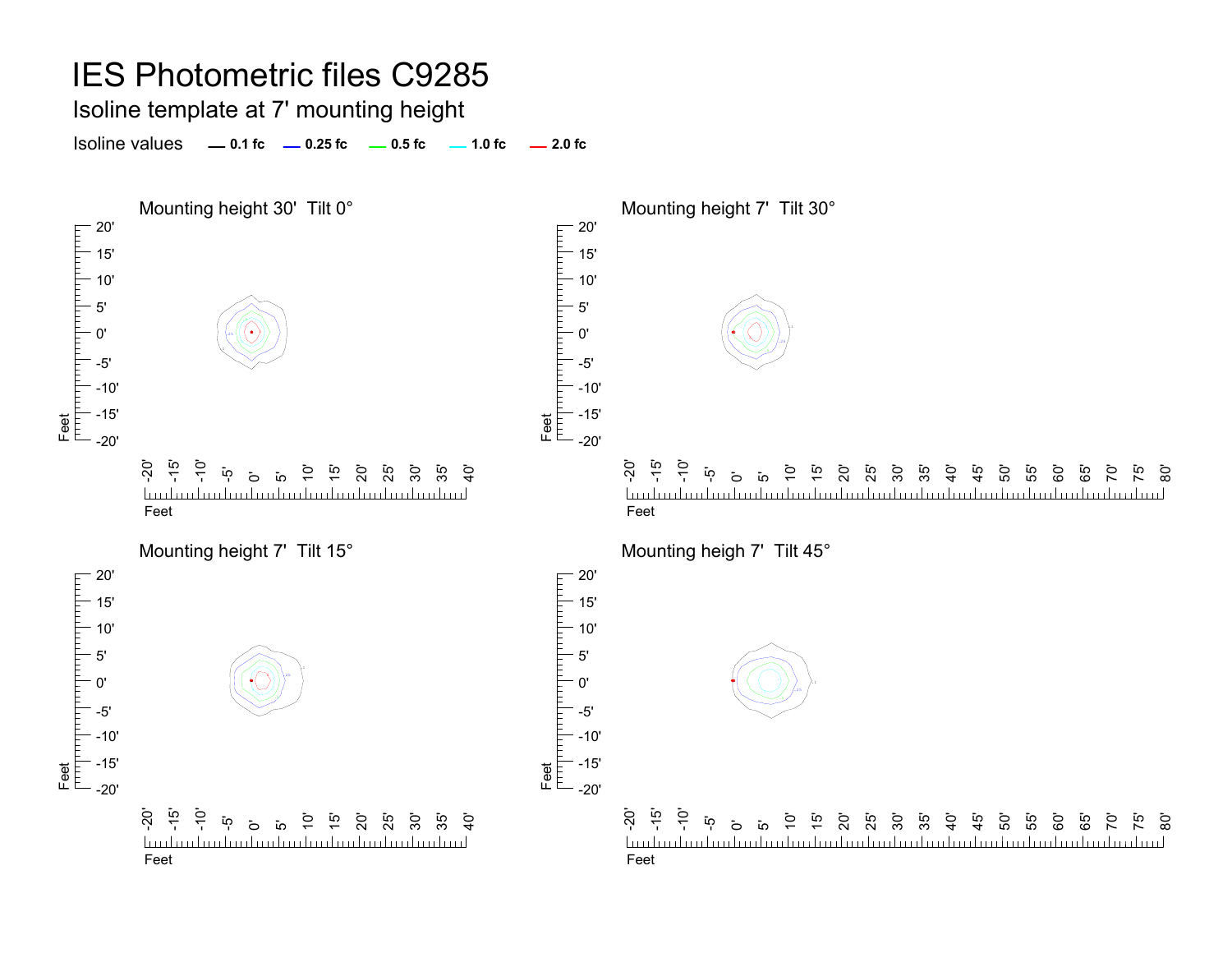Isoline template at 7' mounting height

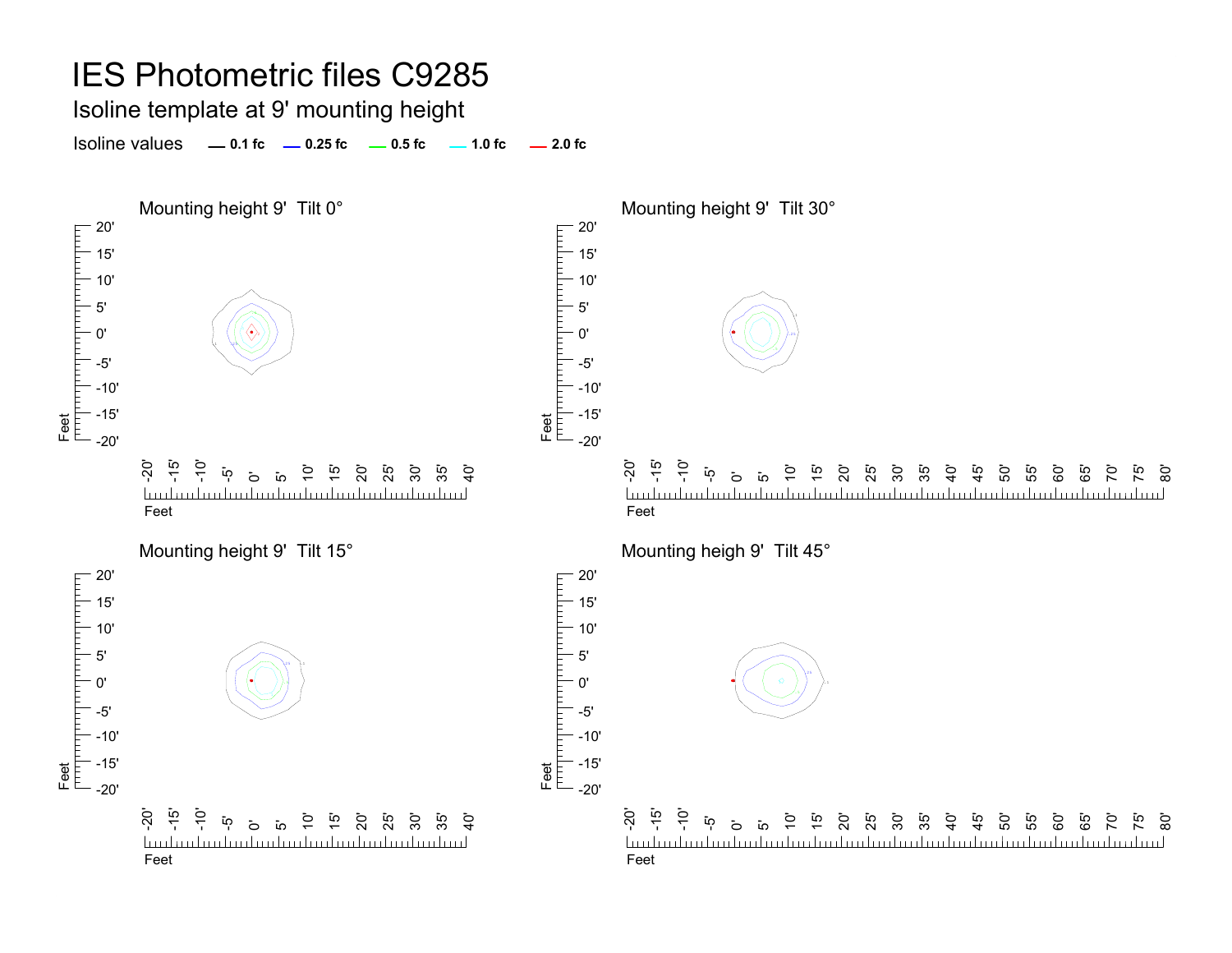Isoline template at 9' mounting height

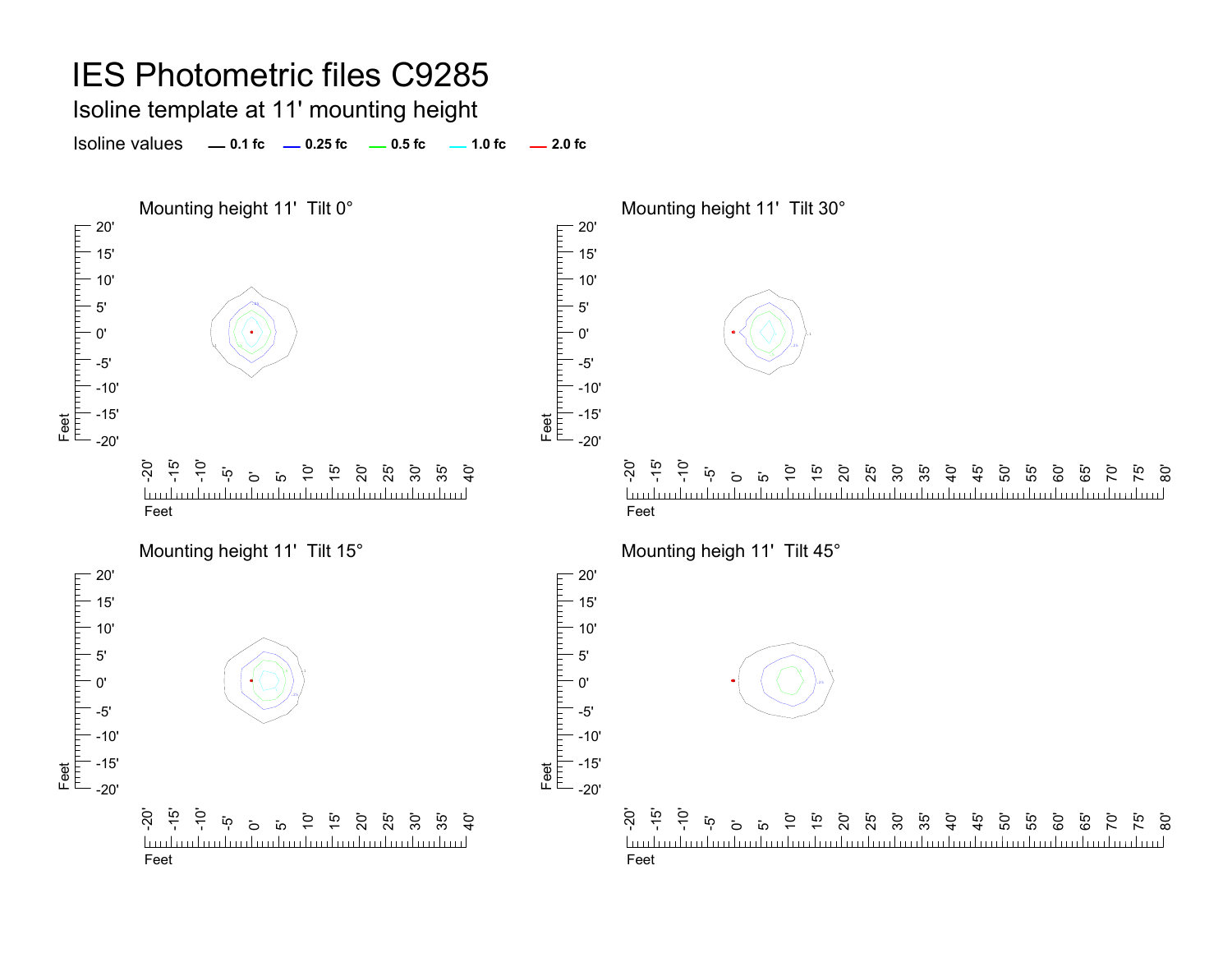#### IES Photometric files C9285 Isoline template at 11' mounting height Isoline values **0.1 fc 0.25 fc 0.5 fc 2.0 fc 1.0 fc** Mounting height 11' Tilt 0° and the Mounting height 11' Tilt 30°  $-20'$ 20' 15' 15' 10' 10' 5' .255' 0' 0' .1Feet<br>|<sup>|||||</sup>||<sup>|||||||||</sup>| -5'-5' -10'-10' -15' -15' Feet -20' -20'  $\overline{S}$ -15'  $\frac{1}{2}$ 15' 20' ິ 50<br>25 30'  $\mathbf{\ddot{o}}$ 10' ີ**່** 55  $\mathcal{G}$

Feet

20'

5'0'

гирипит

-20' - تە<br>- $\frac{1}{2}$  $\overline{Q}$ 15' 35'  $\mathbf{\ddot{o}}$  $\overline{a}$ 20' 25' 30'  $\frac{5}{4}$ ي<br>45 50' ה<br>55  $\overline{1}$ 60' 85 70' mlundundundundundundundundundundundundun <u>luuluuluuluul</u> Feet

<u>تہ</u> <u>ක</u>

Mounting height 11' Tilt 15° Mounting heigh 11' Tilt 45°



-10' -15' -20'-20' -15' <u>hudmahaalaalaalaalaalaalaalaala</u>

Feet

-10' ້າດຸ $\vec{p}$ 

ة ق

 $\ddot{5}$ 15' 20' 25' 30' 35'  $\ddot{5}$ 

Feet

Feet

 $-20'$ 15' 10' 5' 0' -5'

 $\overline{a}$  $\overline{1}$ 

<u>Industrialization builded introduction l</u>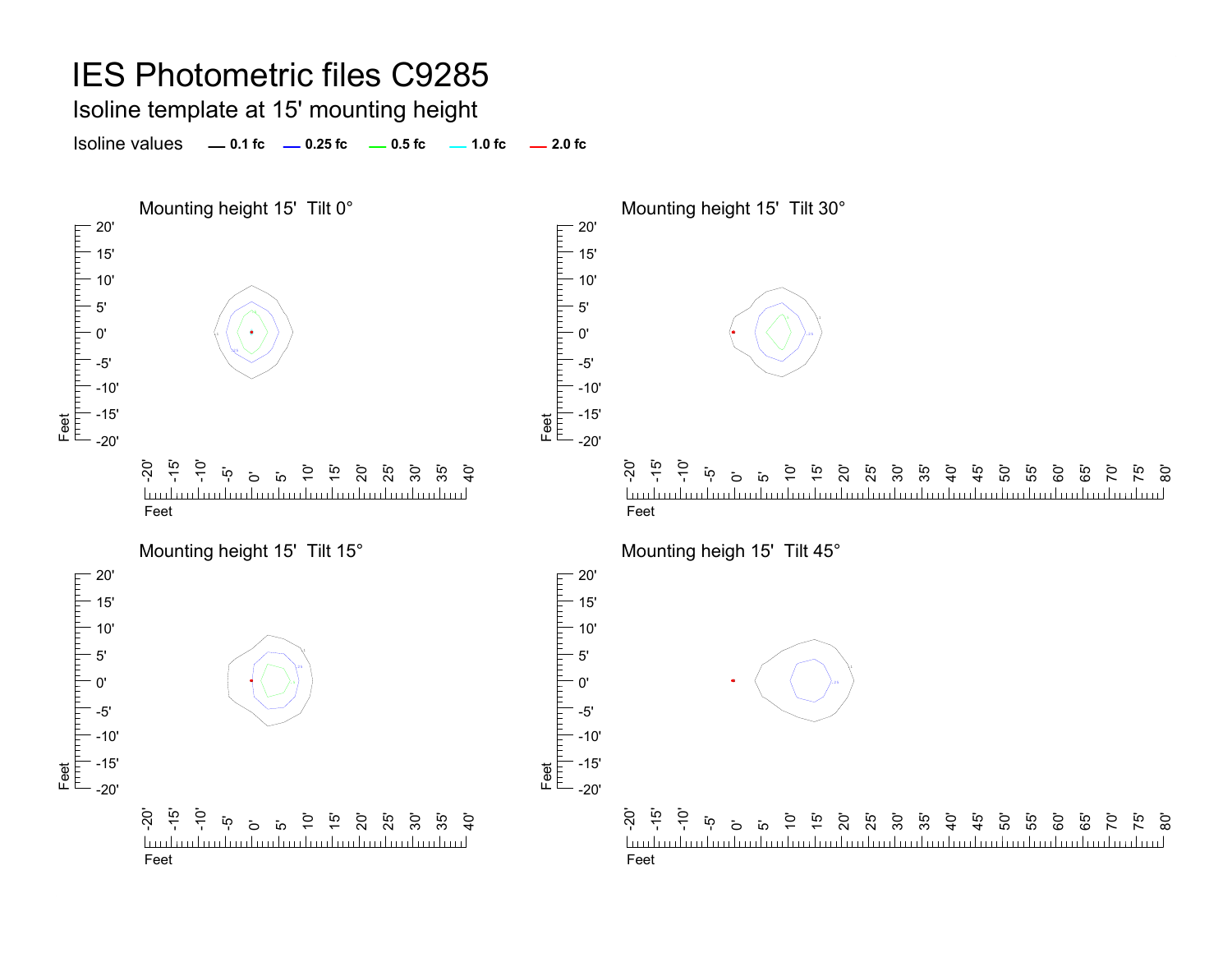Isoline template at 15' mounting height

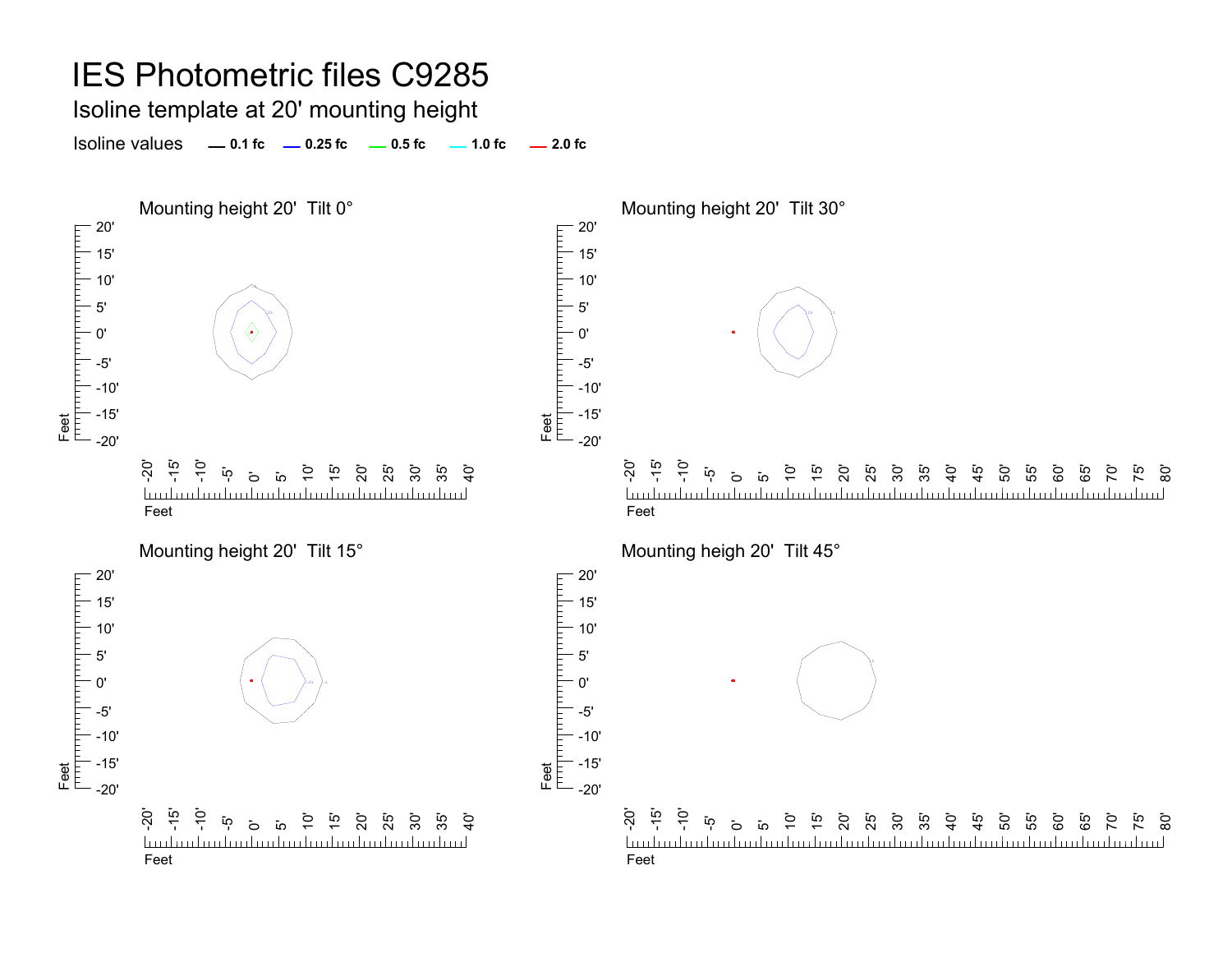Isoline template at 20' mounting height